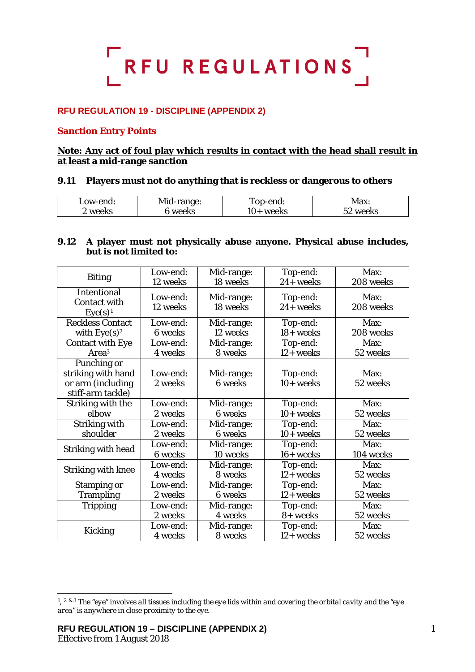

# **RFU REGULATION 19 - DISCIPLINE (APPENDIX 2)**

## **Sanction Entry Points**

## **Note: Any act of foul play which results in contact with the head shall result in at least a mid-range sanction**

## **9.11 Players must not do anything that is reckless or dangerous to others**

| Low-end: | Mid-range: | Top-end:  | Max:           |
|----------|------------|-----------|----------------|
| 2 weeks  | weeks      | 10+ weeks | 52 weeks<br>JL |

## **9.12 A player must not physically abuse anyone. Physical abuse includes, but is not limited to:**

|                                                                  | Low-end:             | Mid-range:             | Top-end:                 | Max:              |
|------------------------------------------------------------------|----------------------|------------------------|--------------------------|-------------------|
| <b>Biting</b>                                                    | 12 weeks             | 18 weeks               | 24+ weeks                | 208 weeks         |
| <b>Intentional</b><br><b>Contact with</b><br>Eye(s) <sup>1</sup> | Low-end:<br>12 weeks | Mid-range:<br>18 weeks | Top-end:<br>$24 +$ weeks | Max:<br>208 weeks |
| <b>Reckless Contact</b>                                          | Low-end:             | Mid-range:             | Top-end:                 | Max:              |
| with $Eye(s)^2$                                                  | <b>6</b> weeks       | 12 weeks               | 18+ weeks                | 208 weeks         |
| <b>Contact with Eye</b>                                          | Low-end:             | Mid-range:             | Top-end:                 | Max:              |
| Area <sup>3</sup>                                                | 4 weeks              | 8 weeks                | 12+ weeks                | 52 weeks          |
| Punching or                                                      |                      |                        |                          |                   |
| striking with hand                                               | Low-end:             | Mid-range:             | Top-end:                 | Max:              |
| or arm (including                                                | 2 weeks              | 6 weeks                | $10+$ weeks              | 52 weeks          |
| stiff-arm tackle)                                                |                      |                        |                          |                   |
| Striking with the                                                | Low-end:             | Mid-range:             | Top-end:                 | Max:              |
| elbow                                                            | 2 weeks              | 6 weeks                | $10+$ weeks              | 52 weeks          |
| Striking with                                                    | Low-end:             | Mid-range:             | Top-end:                 | Max:              |
| shoulder                                                         | 2 weeks              | 6 weeks                | $10+$ weeks              | 52 weeks          |
|                                                                  | Low-end:             | Mid-range:             | Top-end:                 | Max:              |
| Striking with head                                               | 6 weeks              | 10 weeks               | $16+$ weeks              | 104 weeks         |
|                                                                  | Low-end:             | Mid-range:             | Top-end:                 | Max:              |
| <b>Striking with knee</b>                                        | 4 weeks              | 8 weeks                | 12+ weeks                | 52 weeks          |
| <b>Stamping or</b>                                               | Low-end:             | Mid-range:             | Top-end:                 | Max:              |
| <b>Trampling</b>                                                 | 2 weeks              | <b>6</b> weeks         | 12+ weeks                | 52 weeks          |
| <b>Tripping</b>                                                  | Low-end:             | Mid-range:             | Top-end:                 | Max:              |
|                                                                  | 2 weeks              | 4 weeks                | 8+ weeks                 | 52 weeks          |
|                                                                  | Low-end:             | Mid-range:             | Top-end:                 | Max:              |
| Kicking                                                          | 4 weeks              | 8 weeks                | $12 + weeks$             | 52 weeks          |

-

<span id="page-0-0"></span><sup>1, 2</sup> & 3 *The "eye" involves all tissues including the eye lids within and covering the orbital cavity and the "eye area" is anywhere in close proximity to the eye.*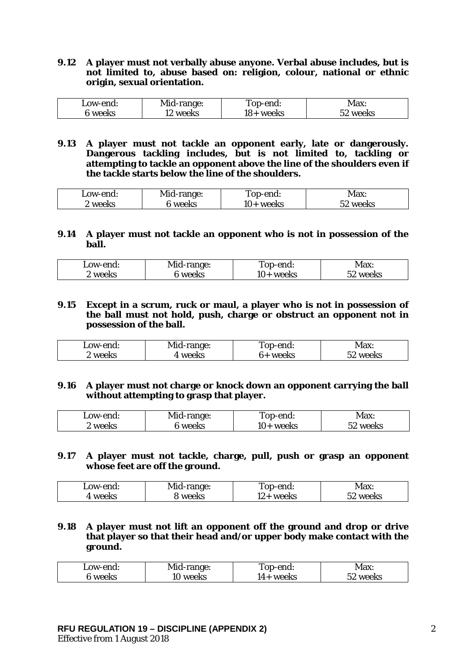#### **9.12 A player must not verbally abuse anyone. Verbal abuse includes, but is not limited to, abuse based on: religion, colour, national or ethnic origin, sexual orientation.**

| Low-end: | Mid-range: | Top-end:  | Max:     |
|----------|------------|-----------|----------|
| 6 weeks  | 12 weeks   | 18+ weeks | 52 weeks |

**9.13 A player must not tackle an opponent early, late or dangerously. Dangerous tackling includes, but is not limited to, tackling or attempting to tackle an opponent above the line of the shoulders even if the tackle starts below the line of the shoulders.**

| Low-end:     | Mid-range: | Top-end:  | Max:                 |
|--------------|------------|-----------|----------------------|
| ! weeks<br>∼ | 6 weeks    | 10+ weeks | <sup>- 2</sup> weeks |

#### **9.14 A player must not tackle an opponent who is not in possession of the ball.**

| Low-end:   | Mid-range: | Top-end:    | Max:     |
|------------|------------|-------------|----------|
| '' weeks ∶ | ™weeks     | $10+$ weeks | 52 weeks |

## **9.15 Except in a scrum, ruck or maul, a player who is not in possession of the ball must not hold, push, charge or obstruct an opponent not in possession of the ball.**

| Low-end: | Mid-range: | <b>Top-end:</b> | Max:     |
|----------|------------|-----------------|----------|
| '' weeks | 4 weeks    | 6+ weeks        | 52 weeks |

# **9.16 A player must not charge or knock down an opponent carrying the ball without attempting to grasp that player.**

| Low-end: | Mid-range: | Top-end:  | <b>Max:</b> |
|----------|------------|-----------|-------------|
| weeks    | 5 weeks    | 10+ weeks | 52 weeks    |

**9.17 A player must not tackle, charge, pull, push or grasp an opponent whose feet are off the ground.**

| Low-end: | Mid-range: | Top-end:                   | Max <sup>.</sup> |
|----------|------------|----------------------------|------------------|
| weeks    | weeks      | weeks<br>$\sim$ $+$ $\sim$ | weeks            |

# **9.18 A player must not lift an opponent off the ground and drop or drive that player so that their head and/or upper body make contact with the ground.**

| Low-end: | Mid-range: | Top-end:  | Max:     |
|----------|------------|-----------|----------|
| 6 weeks  | lO weeks   | l4+ weeks | 52 weeks |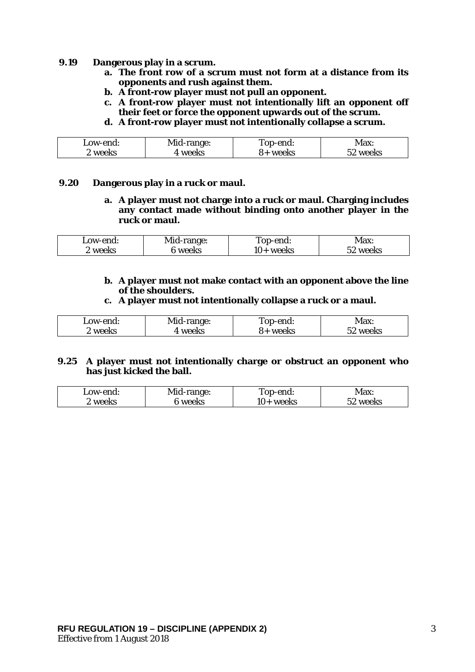#### **9.19 Dangerous play in a scrum.**

- **a. The front row of a scrum must not form at a distance from its opponents and rush against them.**
- **b. A front-row player must not pull an opponent.**
- **c. A front-row player must not intentionally lift an opponent off their feet or force the opponent upwards out of the scrum.**
- **d. A front-row player must not intentionally collapse a scrum.**

| Low-end: | Mid-range: | Top-end: | Max:          |
|----------|------------|----------|---------------|
| weeks    | weeks      | 8+ weeks | weeks<br>` عد |

## **9.20 Dangerous play in a ruck or maul.**

**a. A player must not charge into a ruck or maul. Charging includes any contact made without binding onto another player in the ruck or maul.** 

| Low-end: | Mid-range: | rop-end:  | Max:     |
|----------|------------|-----------|----------|
| 2 weeks  | 6 weeks    | 10+ weeks | 52 weeks |

**b. A player must not make contact with an opponent above the line of the shoulders.**

#### **c. A player must not intentionally collapse a ruck or a maul.**

| Low-end: | Mid-range: | Top-end: | Max:     |
|----------|------------|----------|----------|
| 2 weeks  | . weeks    | 8+ weeks | 52 weeks |

## **9.25 A player must not intentionally charge or obstruct an opponent who has just kicked the ball.**

| Low-end: | Mid-range: | Top-end:  | <b>Max:</b> |
|----------|------------|-----------|-------------|
| ' weeks  | ö weeks    | 10+ weeks | 52 weeks    |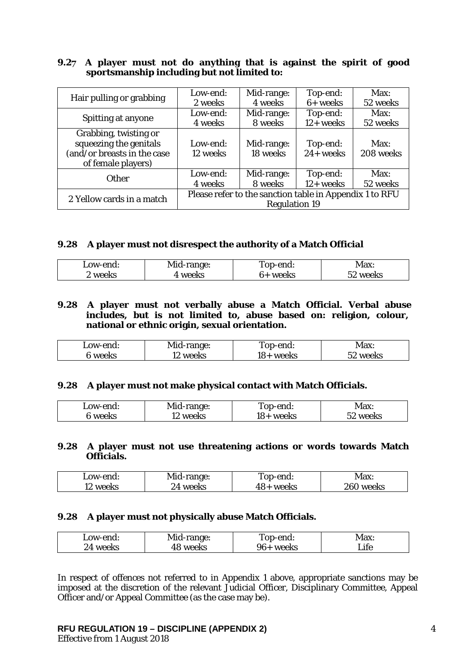# **9.27 A player must not do anything that is against the spirit of good sportsmanship including but not limited to:**

|                             | Low-end:                                                | Mid-range: | Top-end:     | Max:      |
|-----------------------------|---------------------------------------------------------|------------|--------------|-----------|
| Hair pulling or grabbing    | 2 weeks                                                 | 4 weeks    | $6+$ weeks   | 52 weeks  |
|                             | Low-end:                                                | Mid-range: | Top-end:     | Max:      |
| Spitting at anyone          | 4 weeks                                                 | 8 weeks    | $12+$ weeks  | 52 weeks  |
| Grabbing, twisting or       |                                                         |            |              |           |
| squeezing the genitals      | Low-end:                                                | Mid-range: | Top-end:     | Max:      |
| (and/or breasts in the case | 12 weeks                                                | 18 weeks   | $24 +$ weeks | 208 weeks |
| of female players)          |                                                         |            |              |           |
| <b>Other</b>                | Low-end:                                                | Mid-range: | Top-end:     | Max:      |
|                             | 4 weeks                                                 | 8 weeks    | $12+$ weeks  | 52 weeks  |
| 2 Yellow cards in a match   | Please refer to the sanction table in Appendix 1 to RFU |            |              |           |
|                             | <b>Regulation 19</b>                                    |            |              |           |

## **9.28 A player must not disrespect the authority of a Match Official**

| Low-end: | Mid-range: | Top-end: | Max:     |
|----------|------------|----------|----------|
| 2 weeks  | weeks      | 6+ weeks | 52 weeks |

**9.28 A player must not verbally abuse a Match Official. Verbal abuse includes, but is not limited to, abuse based on: religion, colour, national or ethnic origin, sexual orientation.** 

| Low-end: | Mid-range: | Top-end:  | Max:     |
|----------|------------|-----------|----------|
| 6 weeks  | weeks      | 18+ weeks | 52 weeks |

#### **9.28 A player must not make physical contact with Match Officials.**

| Low-end: | Mid-range: | Top-end:  | Max:     |
|----------|------------|-----------|----------|
| 5 weeks  | 12 weeks   | 18+ weeks | 52 weeks |

## **9.28 A player must not use threatening actions or words towards Match Officials.**

| Low-end: | Mid-range: | Top-end:    | <b>Max:</b> |
|----------|------------|-------------|-------------|
| 12 weeks | 24 weeks   | $48+$ weeks | 260 weeks   |

#### **9.28 A player must not physically abuse Match Officials.**

| Low-end: | Mid-range: | Top-end:     | Max: |
|----------|------------|--------------|------|
| 24 weeks | 48 weeks   | 96+<br>weeks | Life |

In respect of offences not referred to in Appendix 1 above, appropriate sanctions may be imposed at the discretion of the relevant Judicial Officer, Disciplinary Committee, Appeal Officer and/or Appeal Committee (as the case may be).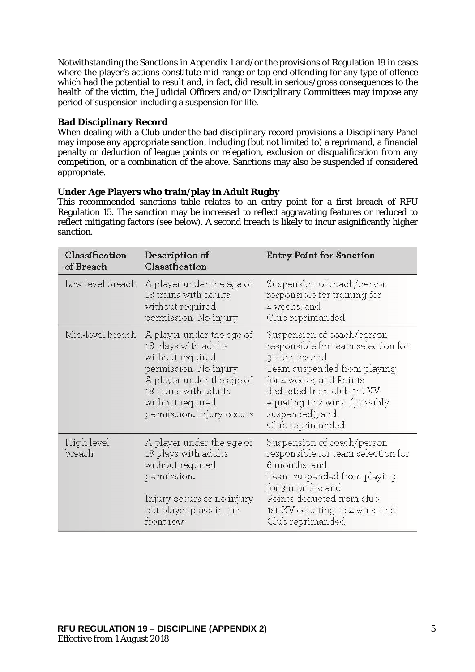Notwithstanding the Sanctions in Appendix 1 and/or the provisions of Regulation 19 in cases where the player's actions constitute mid-range or top end offending for any type of offence which had the potential to result and, in fact, did result in serious/gross consequences to the health of the victim, the Judicial Officers and/or Disciplinary Committees may impose any period of suspension including a suspension for life.

# **Bad Disciplinary Record**

When dealing with a Club under the bad disciplinary record provisions a Disciplinary Panel may impose any appropriate sanction, including (but not limited to) a reprimand, a financial penalty or deduction of league points or relegation, exclusion or disqualification from any competition, or a combination of the above. Sanctions may also be suspended if considered appropriate.

# **Under Age Players who train/play in Adult Rugby**

This recommended sanctions table relates to an entry point for a first breach of RFU Regulation 15. The sanction may be increased to reflect aggravating features or reduced to reflect mitigating factors (see below). A second breach is likely to incur asignificantly higher sanction.

| Classification<br>of Breach | Description of<br>Classification                                                                                                                                                                      | <b>Entry Point for Sanction</b>                                                                                                                                                                                                                 |
|-----------------------------|-------------------------------------------------------------------------------------------------------------------------------------------------------------------------------------------------------|-------------------------------------------------------------------------------------------------------------------------------------------------------------------------------------------------------------------------------------------------|
| Low level breach            | A player under the age of<br>18 trains with adults<br>without required<br>permission. No injury                                                                                                       | Suspension of coach/person<br>responsible for training for<br>4 weeks; and<br>Club reprimanded                                                                                                                                                  |
| Mid-level breach            | A player under the age of<br>18 plays with adults<br>without required<br>permission. No injury<br>A player under the age of<br>18 trains with adults<br>without required<br>permission. Injury occurs | Suspension of coach/person<br>responsible for team selection for<br>3 months; and<br>Team suspended from playing<br>for 4 weeks; and Points<br>deducted from club 1st XV<br>equating to 2 wins (possibly<br>suspended); and<br>Club reprimanded |
| High level<br>breach        | A player under the age of<br>18 plays with adults<br>without required<br>permission.<br>Injury occurs or no injury<br>but player plays in the<br>front row                                            | Suspension of coach/person<br>responsible for team selection for<br>6 months; and<br>Team suspended from playing<br>for 3 months; and<br>Points deducted from club<br>1st XV equating to 4 wins; and<br>Club reprimanded                        |